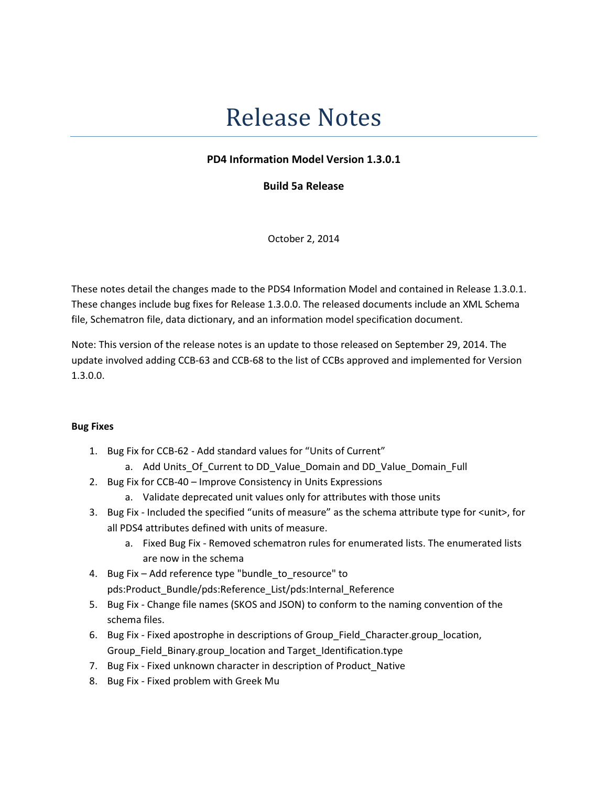# Release Notes

## PD4 Information Model Version 1.3.0.1

Build 5a Release

October 2, 2014

These notes detail the changes made to the PDS4 Information Model and contained in Release 1.3.0.1. These changes include bug fixes for Release 1.3.0.0. The released documents include an XML Schema file, Schematron file, data dictionary, and an information model specification document.

Note: This version of the release notes is an update to those released on September 29, 2014. The update involved adding CCB-63 and CCB-68 to the list of CCBs approved and implemented for Version 1.3.0.0.

### Bug Fixes

- 1. Bug Fix for CCB-62 Add standard values for "Units of Current"
	- a. Add Units\_Of\_Current to DD\_Value\_Domain and DD\_Value\_Domain\_Full
- 2. Bug Fix for CCB-40 Improve Consistency in Units Expressions
	- a. Validate deprecated unit values only for attributes with those units
- 3. Bug Fix Included the specified "units of measure" as the schema attribute type for <unit>, for all PDS4 attributes defined with units of measure.
	- a. Fixed Bug Fix Removed schematron rules for enumerated lists. The enumerated lists are now in the schema
- 4. Bug Fix Add reference type "bundle to resource" to pds:Product Bundle/pds:Reference List/pds:Internal Reference
- 5. Bug Fix Change file names (SKOS and JSON) to conform to the naming convention of the schema files.
- 6. Bug Fix Fixed apostrophe in descriptions of Group\_Field\_Character.group\_location, Group\_Field\_Binary.group\_location and Target\_Identification.type
- 7. Bug Fix Fixed unknown character in description of Product\_Native
- 8. Bug Fix Fixed problem with Greek Mu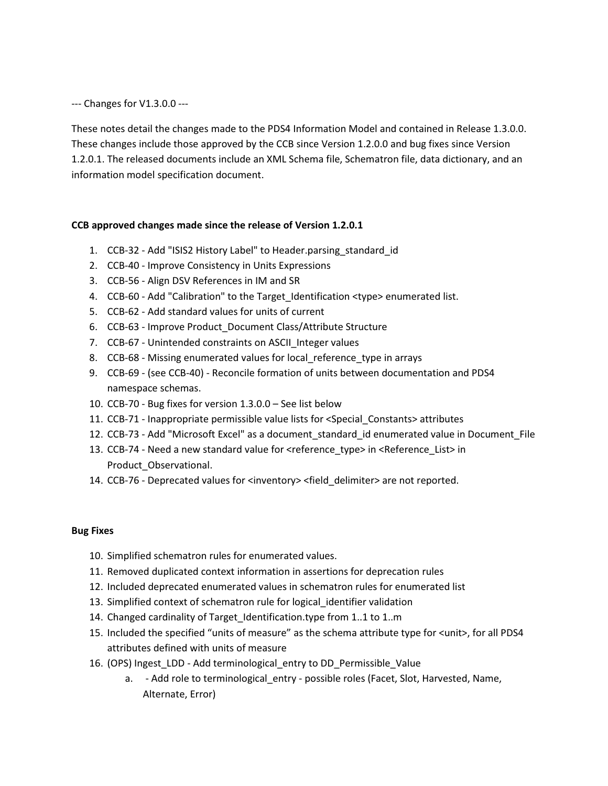--- Changes for V1.3.0.0 ---

These notes detail the changes made to the PDS4 Information Model and contained in Release 1.3.0.0. These changes include those approved by the CCB since Version 1.2.0.0 and bug fixes since Version 1.2.0.1. The released documents include an XML Schema file, Schematron file, data dictionary, and an information model specification document.

#### CCB approved changes made since the release of Version 1.2.0.1

- 1. CCB-32 Add "ISIS2 History Label" to Header.parsing\_standard\_id
- 2. CCB-40 Improve Consistency in Units Expressions
- 3. CCB-56 Align DSV References in IM and SR
- 4. CCB-60 Add "Calibration" to the Target Identification <type> enumerated list.
- 5. CCB-62 Add standard values for units of current
- 6. CCB-63 Improve Product\_Document Class/Attribute Structure
- 7. CCB-67 Unintended constraints on ASCII\_Integer values
- 8. CCB-68 Missing enumerated values for local reference type in arrays
- 9. CCB-69 (see CCB-40) Reconcile formation of units between documentation and PDS4 namespace schemas.
- 10. CCB-70 Bug fixes for version 1.3.0.0 See list below
- 11. CCB-71 Inappropriate permissible value lists for <Special\_Constants> attributes
- 12. CCB-73 Add "Microsoft Excel" as a document\_standard\_id enumerated value in Document\_File
- 13. CCB-74 Need a new standard value for <reference\_type> in <Reference\_List> in Product\_Observational.
- 14. CCB-76 Deprecated values for <inventory> <field\_delimiter> are not reported.

#### Bug Fixes

- 10. Simplified schematron rules for enumerated values.
- 11. Removed duplicated context information in assertions for deprecation rules
- 12. Included deprecated enumerated values in schematron rules for enumerated list
- 13. Simplified context of schematron rule for logical identifier validation
- 14. Changed cardinality of Target\_Identification.type from 1..1 to 1..m
- 15. Included the specified "units of measure" as the schema attribute type for <unit>, for all PDS4 attributes defined with units of measure
- 16. (OPS) Ingest\_LDD Add terminological\_entry to DD\_Permissible\_Value
	- a. Add role to terminological entry possible roles (Facet, Slot, Harvested, Name, Alternate, Error)